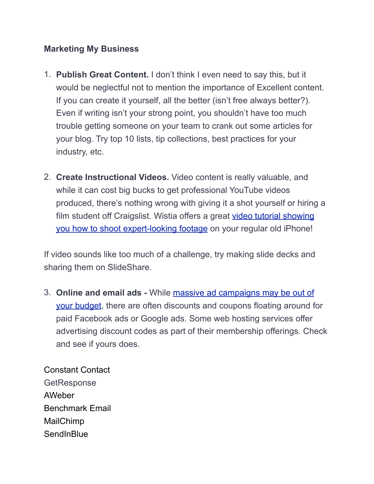#### **Marketing My Business**

- 1. **Publish Great Content.** I don't think I even need to say this, but it would be neglectful not to mention the importance of Excellent content. If you can create it yourself, all the better (isn't free always better?). Even if writing isn't your strong point, you shouldn't have too much trouble getting someone on your team to crank out some articles for your blog. Try top 10 lists, tip collections, best practices for your industry, etc.
- 2. **Create Instructional Videos.** Video content is really valuable, and while it can cost big bucks to get professional YouTube videos produced, there's nothing wrong with giving it a shot yourself or hiring a [film student off Craigslist. Wistia offers a great video tutorial showing](http://wistia.com/learning/shooting-video-with-an-iphone)  you how to shoot expert-looking footage on your regular old iPhone!

If video sounds like too much of a challenge, try making slide decks and sharing them on SlideShare.

3. **Online and email ads -** While massive ad campaigns may be out of [your budget, there are often discounts and coupons floating around fo](https://www.wordstream.com/blog/ws/2017/09/05/how-to-compete-with-big-budgets-adwords)r paid Facebook ads or Google ads. Some web hosting services offer advertising discount codes as part of their membership offerings. Check and see if yours does.

Constant Contact **[GetResponse](https://www.merchantmaverick.com/top-5-alternatives-constant-contact/#1_GetResponse)** [AWeber](https://www.merchantmaverick.com/top-5-alternatives-constant-contact/#2_AWeber) [Benchmark Email](https://www.merchantmaverick.com/top-5-alternatives-constant-contact/#3_Benchmark_Email) [MailChimp](https://www.merchantmaverick.com/top-5-alternatives-constant-contact/#4_MailChimp) **[SendInBlue](https://www.merchantmaverick.com/top-5-alternatives-constant-contact/#5_SendInBlue)**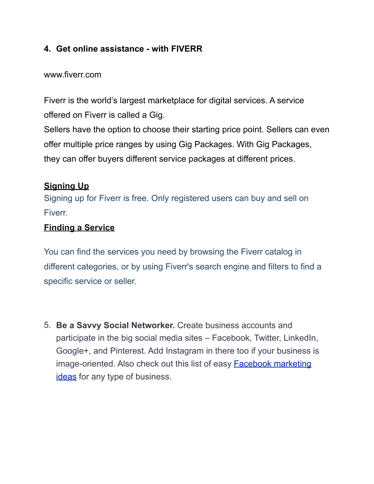# **4. Get online assistance - with FIVERR**

#### www.fiverr.com

Fiverr is the world's largest marketplace for digital services. A service offered on Fiverr is called a Gig.

Sellers have the option to choose their starting price point. Sellers can even offer multiple price ranges by using Gig Packages. With Gig Packages, they can offer buyers different service packages at different prices.

# **Signing Up**

Signing up for Fiverr is free. Only registered users can buy and sell on Fiverr.

#### **Finding a Service**

You can find the services you need by browsing the Fiverr catalog in different categories, or by using Fiverr's search engine and filters to find a specific service or seller.

5. **Be a Savvy Social Networker.** Create business accounts and participate in the big social media sites – Facebook, Twitter, LinkedIn, Google+, and Pinterest. Add Instagram in there too if your business is image-oriented. Also check out this list of easy **Facebook marketing** ideas for any type of business.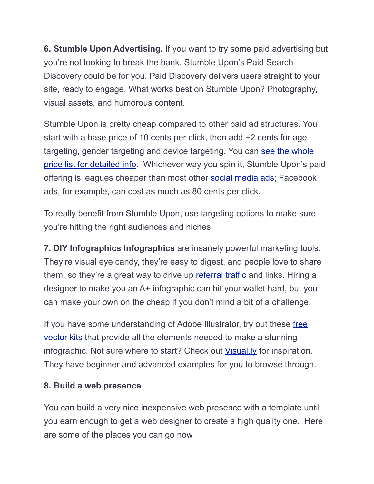**6. Stumble Upon Advertising.** If you want to try some paid advertising but you're not looking to break the bank, Stumble Upon's Paid Search Discovery could be for you. Paid Discovery delivers users straight to your site, ready to engage. What works best on Stumble Upon? Photography, visual assets, and humorous content.

Stumble Upon is pretty cheap compared to other paid ad structures. You start with a base price of 10 cents per click, then add +2 cents for age targeting, gender targeting and device targeting. You can see the whole [price list for detailed info. Whichever way you spin it, Stumble Upon's pa](https://www.stumbleupon.com/pd/index/about)id offering is leagues cheaper than most other [social media ads](https://www.wordstream.com/blog/ws/2014/09/24/social-media-advertising); Facebook ads, for example, can cost as much as 80 cents per click.

To really benefit from Stumble Upon, use targeting options to make sure you're hitting the right audiences and niches.

**7. DIY Infographics Infographics** are insanely powerful marketing tools. They're visual eye candy, they're easy to digest, and people love to share them, so they're a great way to drive up [referral traffic](https://www.wordstream.com/blog/ws/2014/07/23/referral-traffic-links) and links. Hiring a designer to make you an A+ infographic can hit your wallet hard, but you can make your own on the cheap if you don't mind a bit of a challenge.

If you have some understanding of Adobe Illustrator, try out these free vector kits that provide all the elements needed to make a stunning infographic. Not sure where to start? Check out [Visual.ly](http://visual.ly/) for inspiration. They have beginner and advanced examples for you to browse through.

# **8. Build a web presence**

You can build a very nice inexpensive web presence with a template until you earn enough to get a web designer to create a high quality one. Here are some of the places you can go now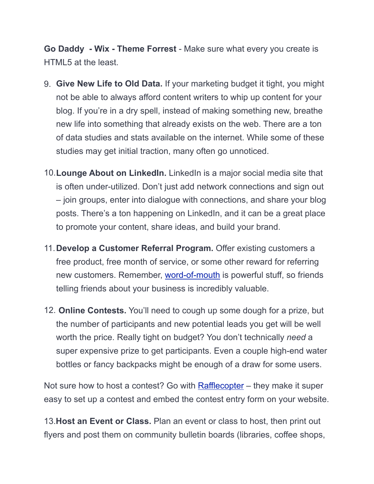**Go Daddy - Wix - Theme Forrest** - Make sure what every you create is HTML5 at the least.

- 9. **Give New Life to Old Data.** If your marketing budget it tight, you might not be able to always afford content writers to whip up content for your blog. If you're in a dry spell, instead of making something new, breathe new life into something that already exists on the web. There are a ton of data studies and stats available on the internet. While some of these studies may get initial traction, many often go unnoticed.
- 10.**Lounge About on LinkedIn.** LinkedIn is a major social media site that is often under-utilized. Don't just add network connections and sign out – join groups, enter into dialogue with connections, and share your blog posts. There's a ton happening on LinkedIn, and it can be a great place to promote your content, share ideas, and build your brand.
- 11.**Develop a Customer Referral Program.** Offer existing customers a free product, free month of service, or some other reward for referring new customers. Remember, [word-of-mouth](https://www.wordstream.com/blog/ws/2014/06/26/word-of-mouth-marketing) is powerful stuff, so friends telling friends about your business is incredibly valuable.
- 12. **Online Contests.** You'll need to cough up some dough for a prize, but the number of participants and new potential leads you get will be well worth the price. Really tight on budget? You don't technically *need* a super expensive prize to get participants. Even a couple high-end water bottles or fancy backpacks might be enough of a draw for some users.

Not sure how to host a contest? Go with **Rafflecopter** – they make it super easy to set up a contest and embed the contest entry form on your website.

13.**Host an Event or Class.** Plan an event or class to host, then print out flyers and post them on community bulletin boards (libraries, coffee shops,